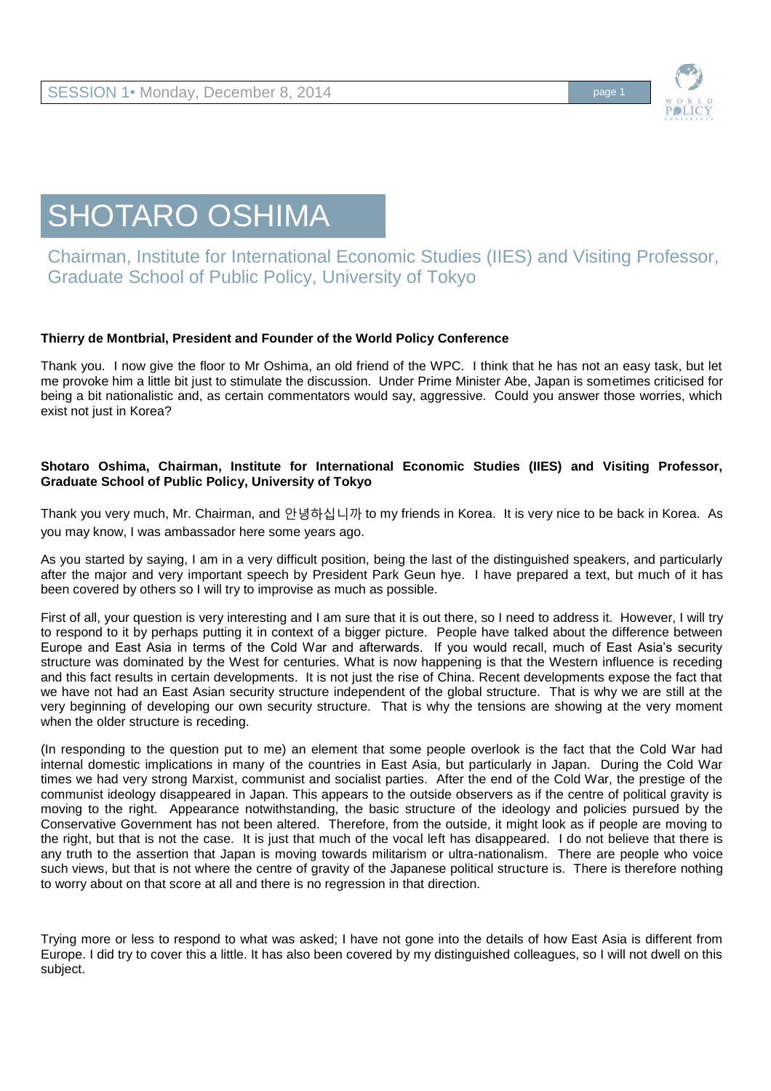

# SHOTARO OSHIMA

Chairman, Institute for International Economic Studies (IIES) and Visiting Professor, Graduate School of Public Policy, University of Tokyo

## **Thierry de Montbrial, President and Founder of the World Policy Conference**

Thank you. I now give the floor to Mr Oshima, an old friend of the WPC. I think that he has not an easy task, but let me provoke him a little bit just to stimulate the discussion. Under Prime Minister Abe, Japan is sometimes criticised for being a bit nationalistic and, as certain commentators would say, aggressive. Could you answer those worries, which exist not just in Korea?

## **Shotaro Oshima, Chairman, Institute for International Economic Studies (IIES) and Visiting Professor, Graduate School of Public Policy, University of Tokyo**

Thank you very much, Mr. Chairman, and 안녕하십니까 to my friends in Korea. It is very nice to be back in Korea. As you may know, I was ambassador here some years ago.

As you started by saying, I am in a very difficult position, being the last of the distinguished speakers, and particularly after the major and very important speech by President Park Geun hye. I have prepared a text, but much of it has been covered by others so I will try to improvise as much as possible.

First of all, your question is very interesting and I am sure that it is out there, so I need to address it. However, I will try to respond to it by perhaps putting it in context of a bigger picture. People have talked about the difference between Europe and East Asia in terms of the Cold War and afterwards. If you would recall, much of East Asia's security structure was dominated by the West for centuries. What is now happening is that the Western influence is receding and this fact results in certain developments. It is not just the rise of China. Recent developments expose the fact that we have not had an East Asian security structure independent of the global structure. That is why we are still at the very beginning of developing our own security structure. That is why the tensions are showing at the very moment when the older structure is receding.

(In responding to the question put to me) an element that some people overlook is the fact that the Cold War had internal domestic implications in many of the countries in East Asia, but particularly in Japan. During the Cold War times we had very strong Marxist, communist and socialist parties. After the end of the Cold War, the prestige of the communist ideology disappeared in Japan. This appears to the outside observers as if the centre of political gravity is moving to the right. Appearance notwithstanding, the basic structure of the ideology and policies pursued by the Conservative Government has not been altered. Therefore, from the outside, it might look as if people are moving to the right, but that is not the case. It is just that much of the vocal left has disappeared. I do not believe that there is any truth to the assertion that Japan is moving towards militarism or ultra-nationalism. There are people who voice such views, but that is not where the centre of gravity of the Japanese political structure is. There is therefore nothing to worry about on that score at all and there is no regression in that direction.

Trying more or less to respond to what was asked; I have not gone into the details of how East Asia is different from Europe. I did try to cover this a little. It has also been covered by my distinguished colleagues, so I will not dwell on this subject.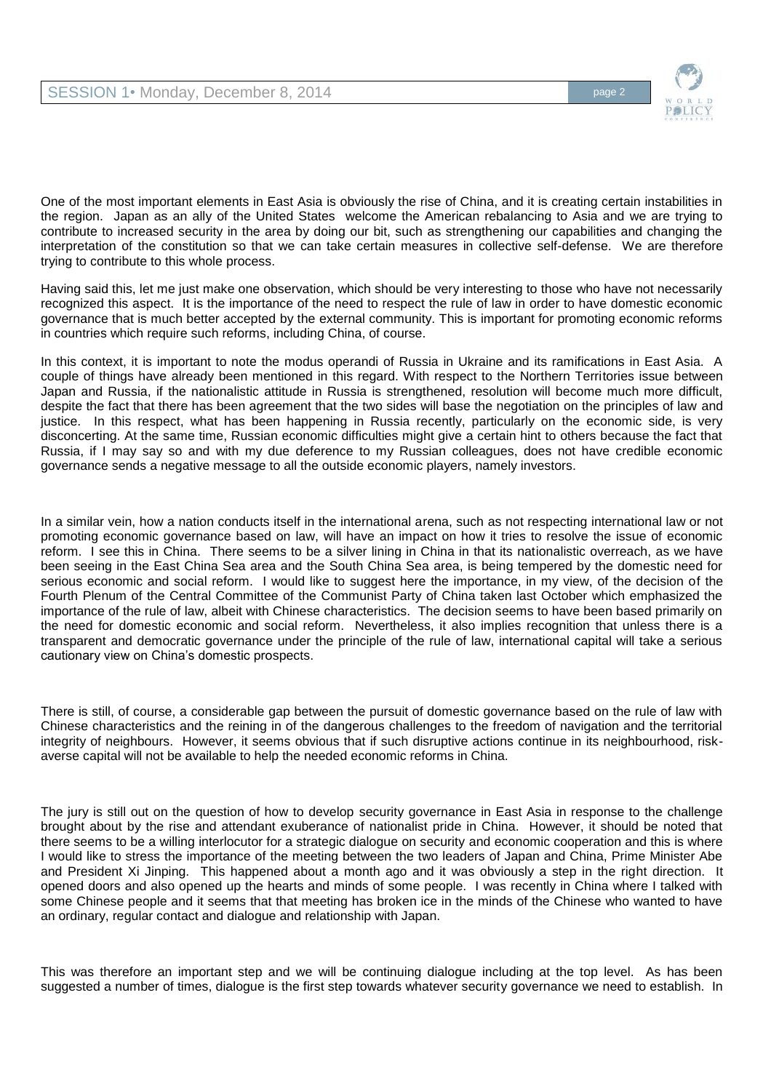

One of the most important elements in East Asia is obviously the rise of China, and it is creating certain instabilities in the region. Japan as an ally of the United States welcome the American rebalancing to Asia and we are trying to contribute to increased security in the area by doing our bit, such as strengthening our capabilities and changing the interpretation of the constitution so that we can take certain measures in collective self-defense. We are therefore trying to contribute to this whole process.

Having said this, let me just make one observation, which should be very interesting to those who have not necessarily recognized this aspect. It is the importance of the need to respect the rule of law in order to have domestic economic governance that is much better accepted by the external community. This is important for promoting economic reforms in countries which require such reforms, including China, of course.

In this context, it is important to note the modus operandi of Russia in Ukraine and its ramifications in East Asia. A couple of things have already been mentioned in this regard. With respect to the Northern Territories issue between Japan and Russia, if the nationalistic attitude in Russia is strengthened, resolution will become much more difficult, despite the fact that there has been agreement that the two sides will base the negotiation on the principles of law and justice. In this respect, what has been happening in Russia recently, particularly on the economic side, is very disconcerting. At the same time, Russian economic difficulties might give a certain hint to others because the fact that Russia, if I may say so and with my due deference to my Russian colleagues, does not have credible economic governance sends a negative message to all the outside economic players, namely investors.

In a similar vein, how a nation conducts itself in the international arena, such as not respecting international law or not promoting economic governance based on law, will have an impact on how it tries to resolve the issue of economic reform. I see this in China. There seems to be a silver lining in China in that its nationalistic overreach, as we have been seeing in the East China Sea area and the South China Sea area, is being tempered by the domestic need for serious economic and social reform. I would like to suggest here the importance, in my view, of the decision of the Fourth Plenum of the Central Committee of the Communist Party of China taken last October which emphasized the importance of the rule of law, albeit with Chinese characteristics. The decision seems to have been based primarily on the need for domestic economic and social reform. Nevertheless, it also implies recognition that unless there is a transparent and democratic governance under the principle of the rule of law, international capital will take a serious cautionary view on China's domestic prospects.

There is still, of course, a considerable gap between the pursuit of domestic governance based on the rule of law with Chinese characteristics and the reining in of the dangerous challenges to the freedom of navigation and the territorial integrity of neighbours. However, it seems obvious that if such disruptive actions continue in its neighbourhood, riskaverse capital will not be available to help the needed economic reforms in China.

The jury is still out on the question of how to develop security governance in East Asia in response to the challenge brought about by the rise and attendant exuberance of nationalist pride in China. However, it should be noted that there seems to be a willing interlocutor for a strategic dialogue on security and economic cooperation and this is where I would like to stress the importance of the meeting between the two leaders of Japan and China, Prime Minister Abe and President Xi Jinping. This happened about a month ago and it was obviously a step in the right direction. It opened doors and also opened up the hearts and minds of some people. I was recently in China where I talked with some Chinese people and it seems that that meeting has broken ice in the minds of the Chinese who wanted to have an ordinary, regular contact and dialogue and relationship with Japan.

This was therefore an important step and we will be continuing dialogue including at the top level. As has been suggested a number of times, dialogue is the first step towards whatever security governance we need to establish. In